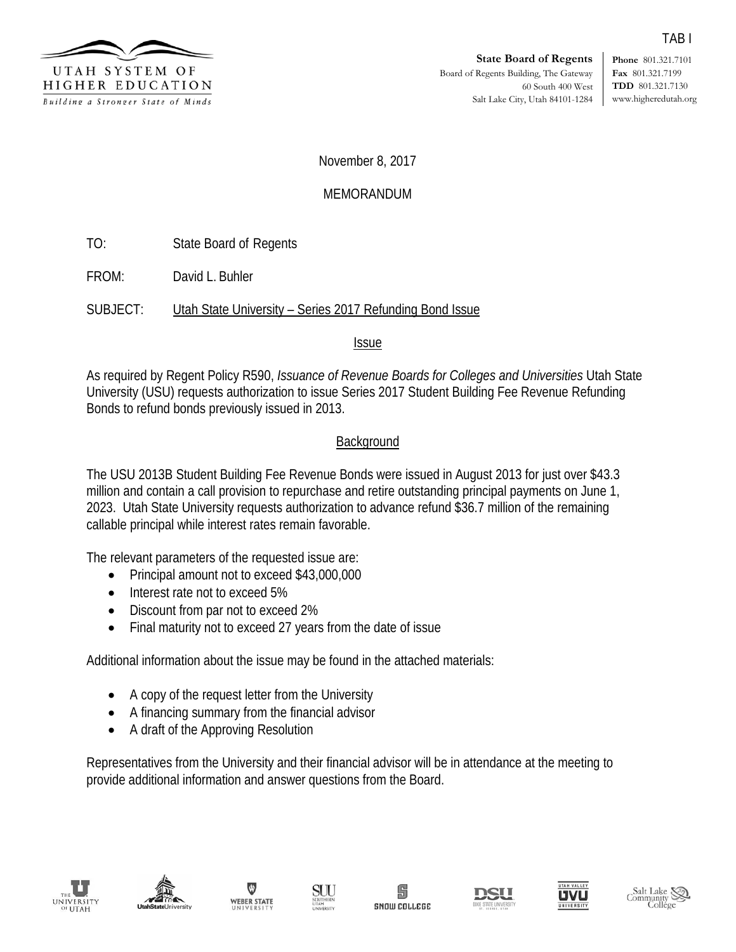

**Phone** 801.321.7101 **Fax** 801.321.7199 **TDD** 801.321.7130 www.higheredutah.org

#### November 8, 2017

### MEMORANDUM

TO: State Board of Regents

FROM: David L. Buhler

SUBJECT: Utah State University – Series 2017 Refunding Bond Issue

#### Issue

As required by Regent Policy R590, *Issuance of Revenue Boards for Colleges and Universities* Utah State University (USU) requests authorization to issue Series 2017 Student Building Fee Revenue Refunding Bonds to refund bonds previously issued in 2013.

### **Background**

The USU 2013B Student Building Fee Revenue Bonds were issued in August 2013 for just over \$43.3 million and contain a call provision to repurchase and retire outstanding principal payments on June 1, 2023. Utah State University requests authorization to advance refund \$36.7 million of the remaining callable principal while interest rates remain favorable.

The relevant parameters of the requested issue are:

- Principal amount not to exceed \$43,000,000
- Interest rate not to exceed 5%
- Discount from par not to exceed 2%
- Final maturity not to exceed 27 years from the date of issue

Additional information about the issue may be found in the attached materials:

- A copy of the request letter from the University
- A financing summary from the financial advisor
- A draft of the Approving Resolution

Representatives from the University and their financial advisor will be in attendance at the meeting to provide additional information and answer questions from the Board.















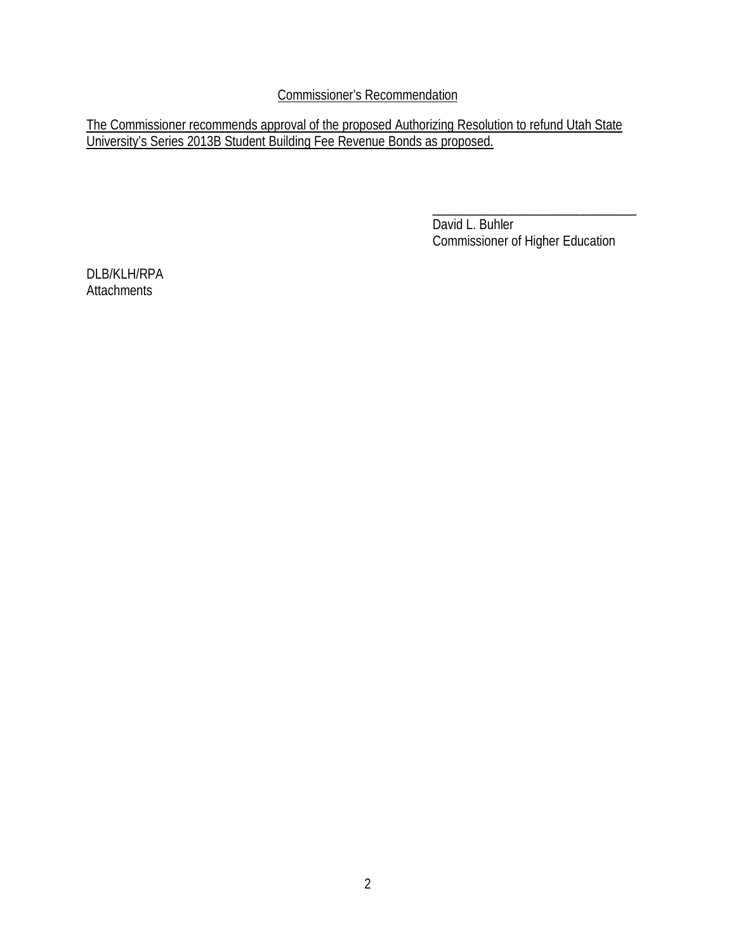Commissioner's Recommendation

The Commissioner recommends approval of the proposed Authorizing Resolution to refund Utah State University's Series 2013B Student Building Fee Revenue Bonds as proposed.

> $\overline{\phantom{a}}$  , and the contract of the contract of the contract of the contract of the contract of the contract of the contract of the contract of the contract of the contract of the contract of the contract of the contrac David L. Buhler Commissioner of Higher Education

DLB/KLH/RPA **Attachments**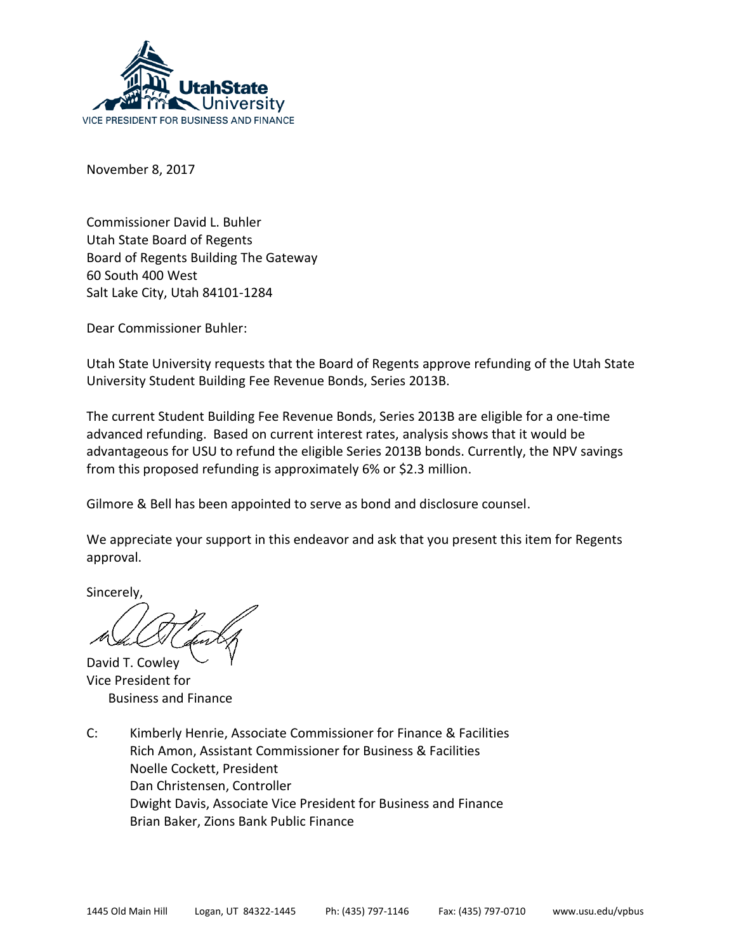

November 8, 2017

Commissioner David L. Buhler Utah State Board of Regents Board of Regents Building The Gateway 60 South 400 West Salt Lake City, Utah 84101-1284

Dear Commissioner Buhler:

Utah State University requests that the Board of Regents approve refunding of the Utah State University Student Building Fee Revenue Bonds, Series 2013B.

The current Student Building Fee Revenue Bonds, Series 2013B are eligible for a one-time advanced refunding. Based on current interest rates, analysis shows that it would be advantageous for USU to refund the eligible Series 2013B bonds. Currently, the NPV savings from this proposed refunding is approximately 6% or \$2.3 million.

Gilmore & Bell has been appointed to serve as bond and disclosure counsel.

We appreciate your support in this endeavor and ask that you present this item for Regents approval.

Sincerely,

David T. Cowley Vice President for Business and Finance

C: Kimberly Henrie, Associate Commissioner for Finance & Facilities Rich Amon, Assistant Commissioner for Business & Facilities Noelle Cockett, President Dan Christensen, Controller Dwight Davis, Associate Vice President for Business and Finance Brian Baker, Zions Bank Public Finance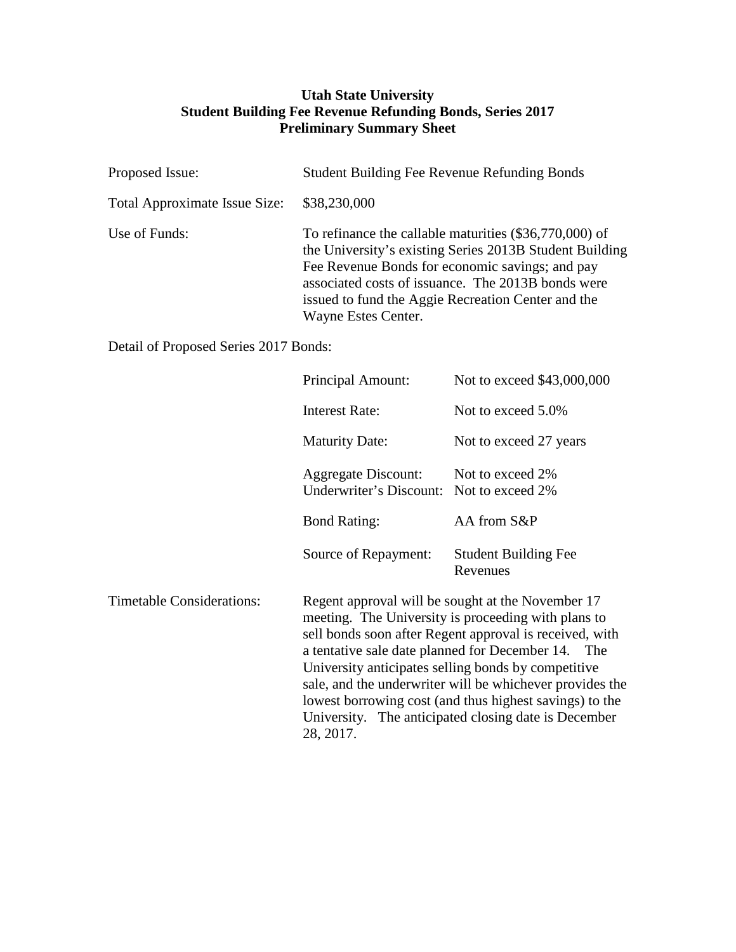### **Utah State University Student Building Fee Revenue Refunding Bonds, Series 2017 Preliminary Summary Sheet**

| Proposed Issue:                      | <b>Student Building Fee Revenue Refunding Bonds</b>                                                                                                                                                                                                                                                     |
|--------------------------------------|---------------------------------------------------------------------------------------------------------------------------------------------------------------------------------------------------------------------------------------------------------------------------------------------------------|
| <b>Total Approximate Issue Size:</b> | \$38,230,000                                                                                                                                                                                                                                                                                            |
| Use of Funds:                        | To refinance the callable maturities (\$36,770,000) of<br>the University's existing Series 2013B Student Building<br>Fee Revenue Bonds for economic savings; and pay<br>associated costs of issuance. The 2013B bonds were<br>issued to fund the Aggie Recreation Center and the<br>Wayne Estes Center. |

Detail of Proposed Series 2017 Bonds:

|                                  | Principal Amount:                                                      | Not to exceed \$43,000,000                                                                                                                                                                                                                                                                                                                                                                                                                                      |
|----------------------------------|------------------------------------------------------------------------|-----------------------------------------------------------------------------------------------------------------------------------------------------------------------------------------------------------------------------------------------------------------------------------------------------------------------------------------------------------------------------------------------------------------------------------------------------------------|
|                                  | <b>Interest Rate:</b>                                                  | Not to exceed 5.0%                                                                                                                                                                                                                                                                                                                                                                                                                                              |
|                                  | <b>Maturity Date:</b>                                                  | Not to exceed 27 years                                                                                                                                                                                                                                                                                                                                                                                                                                          |
|                                  | <b>Aggregate Discount:</b><br>Underwriter's Discount: Not to exceed 2% | Not to exceed 2%                                                                                                                                                                                                                                                                                                                                                                                                                                                |
|                                  | <b>Bond Rating:</b>                                                    | AA from S&P                                                                                                                                                                                                                                                                                                                                                                                                                                                     |
|                                  | Source of Repayment:                                                   | <b>Student Building Fee</b><br>Revenues                                                                                                                                                                                                                                                                                                                                                                                                                         |
| <b>Timetable Considerations:</b> | 28, 2017.                                                              | Regent approval will be sought at the November 17<br>meeting. The University is proceeding with plans to<br>sell bonds soon after Regent approval is received, with<br>a tentative sale date planned for December 14. The<br>University anticipates selling bonds by competitive<br>sale, and the underwriter will be whichever provides the<br>lowest borrowing cost (and thus highest savings) to the<br>University. The anticipated closing date is December |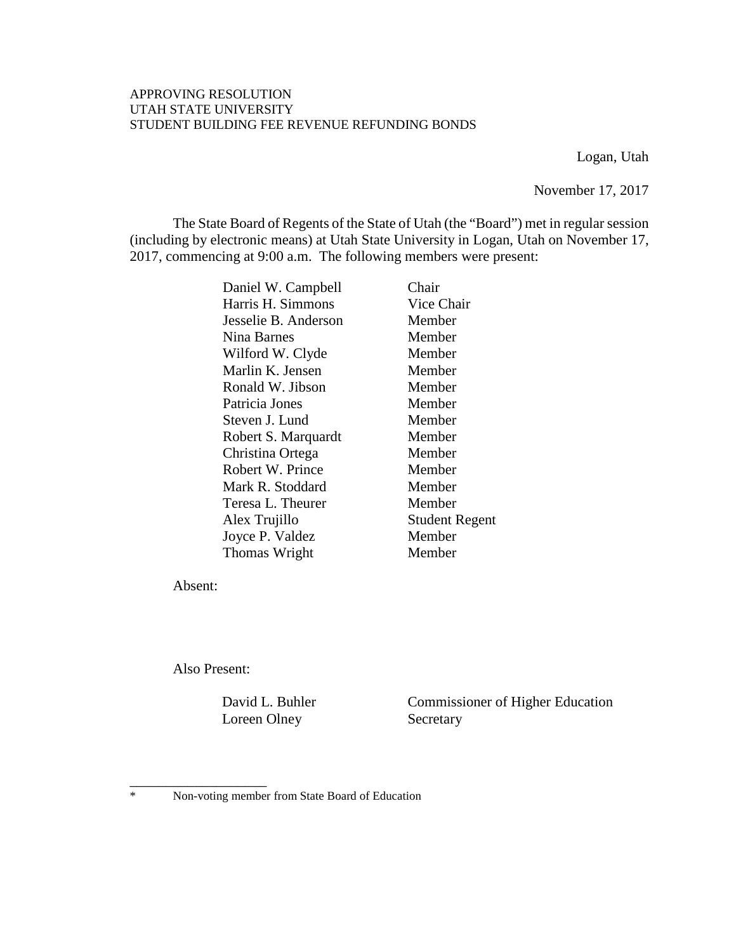#### APPROVING RESOLUTION UTAH STATE UNIVERSITY STUDENT BUILDING FEE REVENUE REFUNDING BONDS

Logan, Utah

November 17, 2017

The State Board of Regents of the State of Utah (the "Board") met in regular session (including by electronic means) at Utah State University in Logan, Utah on November 17, 2017, commencing at 9:00 a.m. The following members were present:

| Daniel W. Campbell   | Chair                 |
|----------------------|-----------------------|
| Harris H. Simmons    | Vice Chair            |
| Jesselie B. Anderson | Member                |
| Nina Barnes          | Member                |
| Wilford W. Clyde     | Member                |
| Marlin K. Jensen     | Member                |
| Ronald W. Jibson     | Member                |
| Patricia Jones       | Member                |
| Steven J. Lund       | Member                |
| Robert S. Marquardt  | Member                |
| Christina Ortega     | Member                |
| Robert W. Prince     | Member                |
| Mark R. Stoddard     | Member                |
| Teresa L. Theurer    | Member                |
| Alex Trujillo        | <b>Student Regent</b> |
| Joyce P. Valdez      | Member                |
| Thomas Wright        | Member                |
|                      |                       |

Absent:

Also Present:

Loreen Olney Secretary

David L. Buhler Commissioner of Higher Education

\_\_\_\_\_\_\_\_\_\_\_\_\_\_\_\_\_\_\_ \* Non-voting member from State Board of Education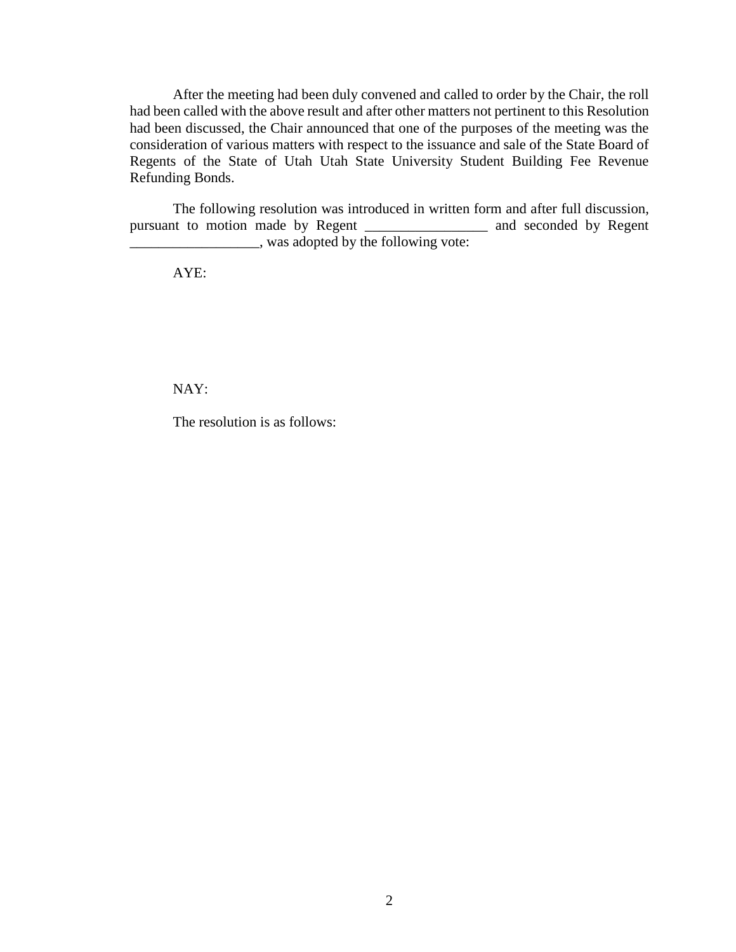After the meeting had been duly convened and called to order by the Chair, the roll had been called with the above result and after other matters not pertinent to this Resolution had been discussed, the Chair announced that one of the purposes of the meeting was the consideration of various matters with respect to the issuance and sale of the State Board of Regents of the State of Utah Utah State University Student Building Fee Revenue Refunding Bonds.

The following resolution was introduced in written form and after full discussion, pursuant to motion made by Regent \_\_\_\_\_\_\_\_\_\_\_\_\_\_\_\_\_\_\_ and seconded by Regent \_\_\_\_\_\_\_\_\_\_\_\_\_\_\_\_\_\_, was adopted by the following vote:

AYE:

NAY:

The resolution is as follows: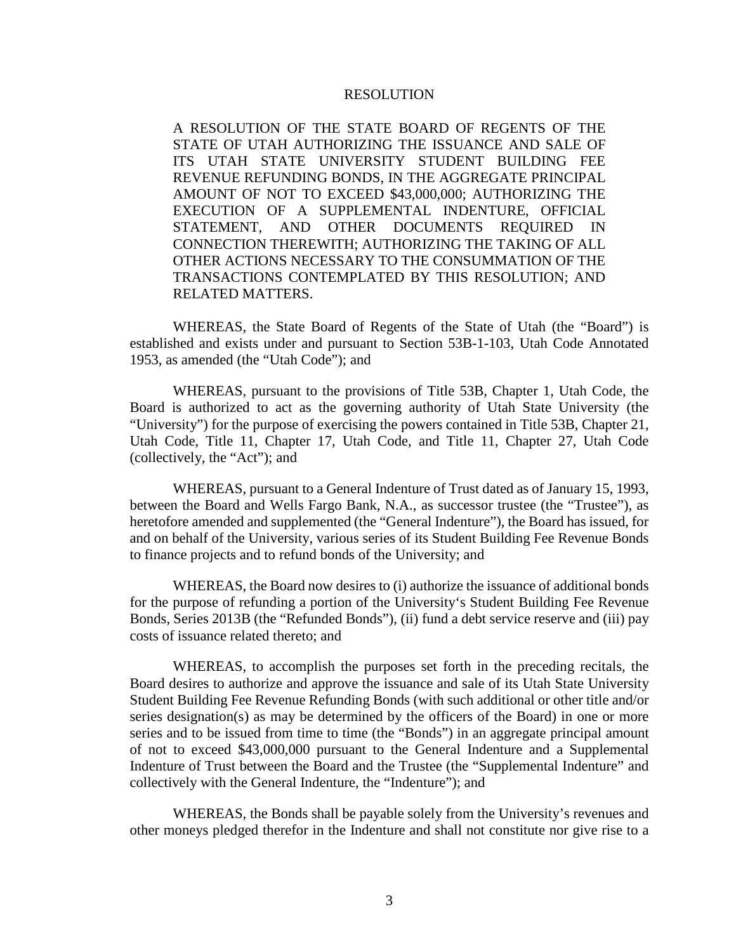#### RESOLUTION

A RESOLUTION OF THE STATE BOARD OF REGENTS OF THE STATE OF UTAH AUTHORIZING THE ISSUANCE AND SALE OF ITS UTAH STATE UNIVERSITY STUDENT BUILDING FEE REVENUE REFUNDING BONDS, IN THE AGGREGATE PRINCIPAL AMOUNT OF NOT TO EXCEED \$43,000,000; AUTHORIZING THE EXECUTION OF A SUPPLEMENTAL INDENTURE, OFFICIAL STATEMENT, AND OTHER DOCUMENTS REQUIRED IN CONNECTION THEREWITH; AUTHORIZING THE TAKING OF ALL OTHER ACTIONS NECESSARY TO THE CONSUMMATION OF THE TRANSACTIONS CONTEMPLATED BY THIS RESOLUTION; AND RELATED MATTERS.

WHEREAS, the State Board of Regents of the State of Utah (the "Board") is established and exists under and pursuant to Section 53B-1-103, Utah Code Annotated 1953, as amended (the "Utah Code"); and

WHEREAS, pursuant to the provisions of Title 53B, Chapter 1, Utah Code, the Board is authorized to act as the governing authority of Utah State University (the "University") for the purpose of exercising the powers contained in Title 53B, Chapter 21, Utah Code, Title 11, Chapter 17, Utah Code, and Title 11, Chapter 27, Utah Code (collectively, the "Act"); and

WHEREAS, pursuant to a General Indenture of Trust dated as of January 15, 1993, between the Board and Wells Fargo Bank, N.A., as successor trustee (the "Trustee"), as heretofore amended and supplemented (the "General Indenture"), the Board has issued, for and on behalf of the University, various series of its Student Building Fee Revenue Bonds to finance projects and to refund bonds of the University; and

WHEREAS, the Board now desires to (i) authorize the issuance of additional bonds for the purpose of refunding a portion of the University's Student Building Fee Revenue Bonds, Series 2013B (the "Refunded Bonds"), (ii) fund a debt service reserve and (iii) pay costs of issuance related thereto; and

WHEREAS, to accomplish the purposes set forth in the preceding recitals, the Board desires to authorize and approve the issuance and sale of its Utah State University Student Building Fee Revenue Refunding Bonds (with such additional or other title and/or series designation(s) as may be determined by the officers of the Board) in one or more series and to be issued from time to time (the "Bonds") in an aggregate principal amount of not to exceed \$43,000,000 pursuant to the General Indenture and a Supplemental Indenture of Trust between the Board and the Trustee (the "Supplemental Indenture" and collectively with the General Indenture, the "Indenture"); and

WHEREAS, the Bonds shall be payable solely from the University's revenues and other moneys pledged therefor in the Indenture and shall not constitute nor give rise to a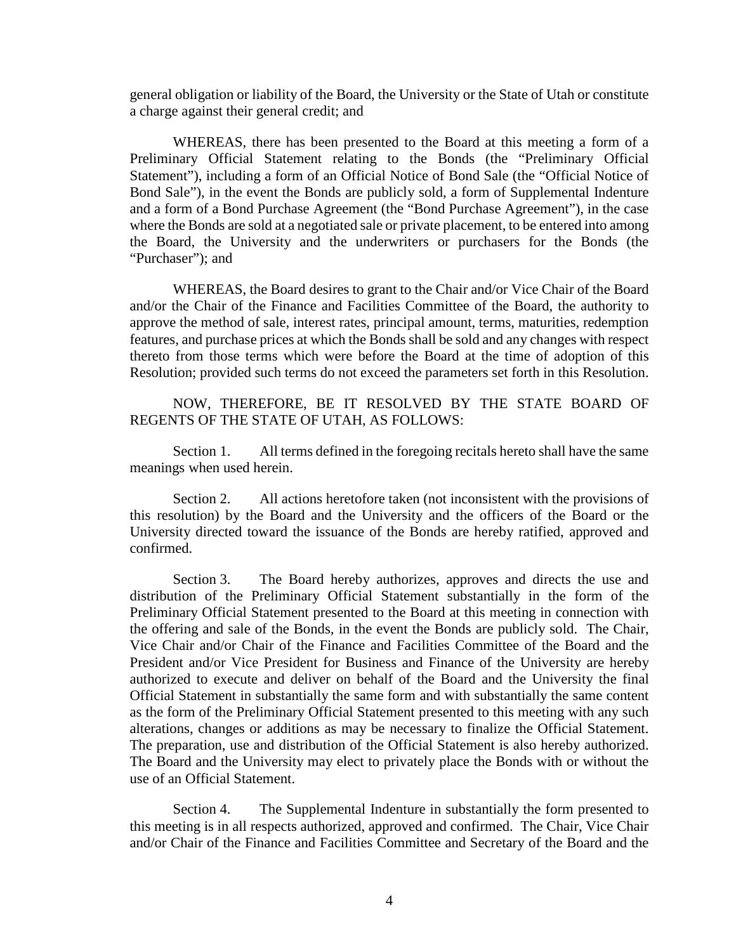general obligation or liability of the Board, the University or the State of Utah or constitute a charge against their general credit; and

WHEREAS, there has been presented to the Board at this meeting a form of a Preliminary Official Statement relating to the Bonds (the "Preliminary Official Statement"), including a form of an Official Notice of Bond Sale (the "Official Notice of Bond Sale"), in the event the Bonds are publicly sold, a form of Supplemental Indenture and a form of a Bond Purchase Agreement (the "Bond Purchase Agreement"), in the case where the Bonds are sold at a negotiated sale or private placement, to be entered into among the Board, the University and the underwriters or purchasers for the Bonds (the "Purchaser"); and

WHEREAS, the Board desires to grant to the Chair and/or Vice Chair of the Board and/or the Chair of the Finance and Facilities Committee of the Board, the authority to approve the method of sale, interest rates, principal amount, terms, maturities, redemption features, and purchase prices at which the Bonds shall be sold and any changes with respect thereto from those terms which were before the Board at the time of adoption of this Resolution; provided such terms do not exceed the parameters set forth in this Resolution.

NOW, THEREFORE, BE IT RESOLVED BY THE STATE BOARD OF REGENTS OF THE STATE OF UTAH, AS FOLLOWS:

Section 1. All terms defined in the foregoing recitals hereto shall have the same meanings when used herein.

Section 2. All actions heretofore taken (not inconsistent with the provisions of this resolution) by the Board and the University and the officers of the Board or the University directed toward the issuance of the Bonds are hereby ratified, approved and confirmed.

Section 3. The Board hereby authorizes, approves and directs the use and distribution of the Preliminary Official Statement substantially in the form of the Preliminary Official Statement presented to the Board at this meeting in connection with the offering and sale of the Bonds, in the event the Bonds are publicly sold. The Chair, Vice Chair and/or Chair of the Finance and Facilities Committee of the Board and the President and/or Vice President for Business and Finance of the University are hereby authorized to execute and deliver on behalf of the Board and the University the final Official Statement in substantially the same form and with substantially the same content as the form of the Preliminary Official Statement presented to this meeting with any such alterations, changes or additions as may be necessary to finalize the Official Statement. The preparation, use and distribution of the Official Statement is also hereby authorized. The Board and the University may elect to privately place the Bonds with or without the use of an Official Statement.

Section 4. The Supplemental Indenture in substantially the form presented to this meeting is in all respects authorized, approved and confirmed. The Chair, Vice Chair and/or Chair of the Finance and Facilities Committee and Secretary of the Board and the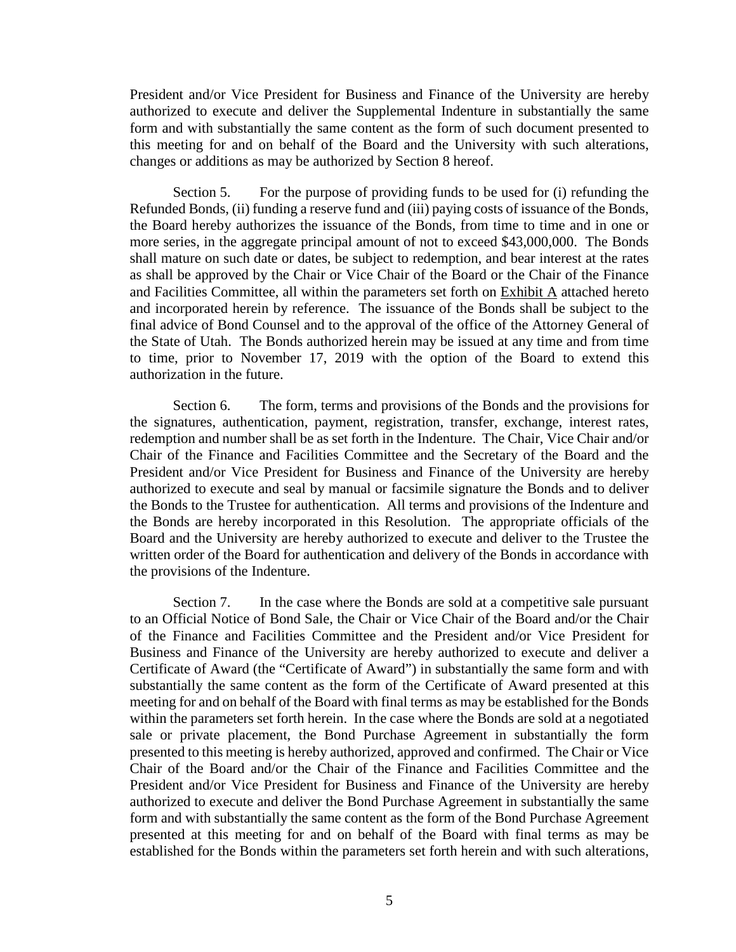President and/or Vice President for Business and Finance of the University are hereby authorized to execute and deliver the Supplemental Indenture in substantially the same form and with substantially the same content as the form of such document presented to this meeting for and on behalf of the Board and the University with such alterations, changes or additions as may be authorized by Section 8 hereof.

Section 5. For the purpose of providing funds to be used for (i) refunding the Refunded Bonds, (ii) funding a reserve fund and (iii) paying costs of issuance of the Bonds, the Board hereby authorizes the issuance of the Bonds, from time to time and in one or more series, in the aggregate principal amount of not to exceed \$43,000,000. The Bonds shall mature on such date or dates, be subject to redemption, and bear interest at the rates as shall be approved by the Chair or Vice Chair of the Board or the Chair of the Finance and Facilities Committee, all within the parameters set forth on Exhibit A attached hereto and incorporated herein by reference. The issuance of the Bonds shall be subject to the final advice of Bond Counsel and to the approval of the office of the Attorney General of the State of Utah. The Bonds authorized herein may be issued at any time and from time to time, prior to November 17, 2019 with the option of the Board to extend this authorization in the future.

Section 6. The form, terms and provisions of the Bonds and the provisions for the signatures, authentication, payment, registration, transfer, exchange, interest rates, redemption and number shall be as set forth in the Indenture. The Chair, Vice Chair and/or Chair of the Finance and Facilities Committee and the Secretary of the Board and the President and/or Vice President for Business and Finance of the University are hereby authorized to execute and seal by manual or facsimile signature the Bonds and to deliver the Bonds to the Trustee for authentication. All terms and provisions of the Indenture and the Bonds are hereby incorporated in this Resolution. The appropriate officials of the Board and the University are hereby authorized to execute and deliver to the Trustee the written order of the Board for authentication and delivery of the Bonds in accordance with the provisions of the Indenture.

Section 7. In the case where the Bonds are sold at a competitive sale pursuant to an Official Notice of Bond Sale, the Chair or Vice Chair of the Board and/or the Chair of the Finance and Facilities Committee and the President and/or Vice President for Business and Finance of the University are hereby authorized to execute and deliver a Certificate of Award (the "Certificate of Award") in substantially the same form and with substantially the same content as the form of the Certificate of Award presented at this meeting for and on behalf of the Board with final terms as may be established for the Bonds within the parameters set forth herein. In the case where the Bonds are sold at a negotiated sale or private placement, the Bond Purchase Agreement in substantially the form presented to this meeting is hereby authorized, approved and confirmed. The Chair or Vice Chair of the Board and/or the Chair of the Finance and Facilities Committee and the President and/or Vice President for Business and Finance of the University are hereby authorized to execute and deliver the Bond Purchase Agreement in substantially the same form and with substantially the same content as the form of the Bond Purchase Agreement presented at this meeting for and on behalf of the Board with final terms as may be established for the Bonds within the parameters set forth herein and with such alterations,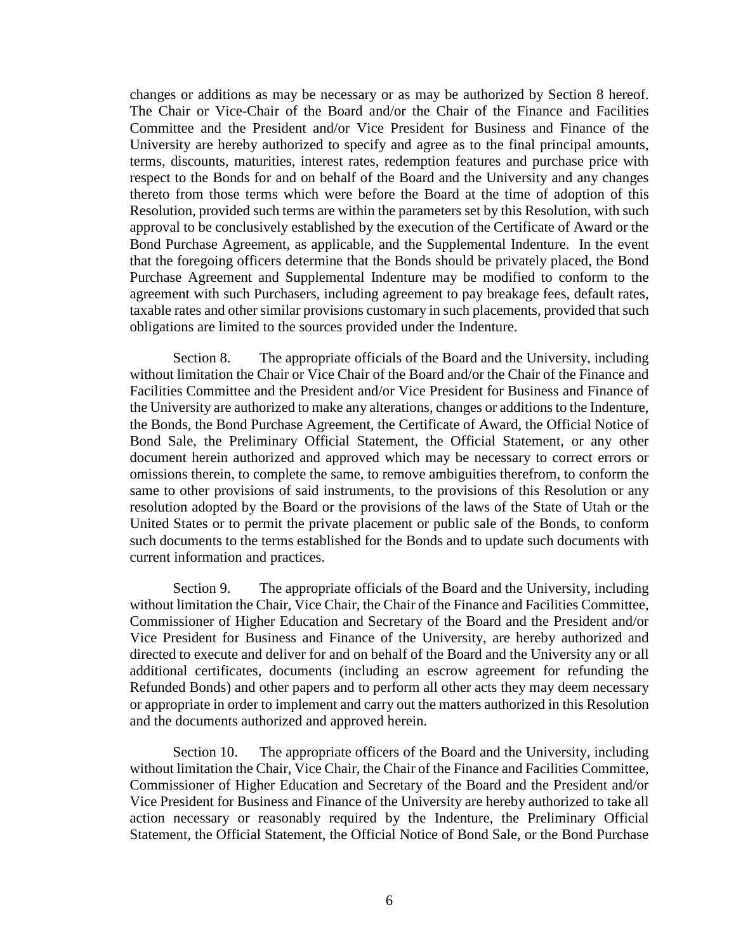changes or additions as may be necessary or as may be authorized by Section 8 hereof. The Chair or Vice-Chair of the Board and/or the Chair of the Finance and Facilities Committee and the President and/or Vice President for Business and Finance of the University are hereby authorized to specify and agree as to the final principal amounts, terms, discounts, maturities, interest rates, redemption features and purchase price with respect to the Bonds for and on behalf of the Board and the University and any changes thereto from those terms which were before the Board at the time of adoption of this Resolution, provided such terms are within the parameters set by this Resolution, with such approval to be conclusively established by the execution of the Certificate of Award or the Bond Purchase Agreement, as applicable, and the Supplemental Indenture. In the event that the foregoing officers determine that the Bonds should be privately placed, the Bond Purchase Agreement and Supplemental Indenture may be modified to conform to the agreement with such Purchasers, including agreement to pay breakage fees, default rates, taxable rates and other similar provisions customary in such placements, provided that such obligations are limited to the sources provided under the Indenture.

Section 8. The appropriate officials of the Board and the University, including without limitation the Chair or Vice Chair of the Board and/or the Chair of the Finance and Facilities Committee and the President and/or Vice President for Business and Finance of the University are authorized to make any alterations, changes or additions to the Indenture, the Bonds, the Bond Purchase Agreement, the Certificate of Award, the Official Notice of Bond Sale, the Preliminary Official Statement, the Official Statement, or any other document herein authorized and approved which may be necessary to correct errors or omissions therein, to complete the same, to remove ambiguities therefrom, to conform the same to other provisions of said instruments, to the provisions of this Resolution or any resolution adopted by the Board or the provisions of the laws of the State of Utah or the United States or to permit the private placement or public sale of the Bonds, to conform such documents to the terms established for the Bonds and to update such documents with current information and practices.

Section 9. The appropriate officials of the Board and the University, including without limitation the Chair, Vice Chair, the Chair of the Finance and Facilities Committee, Commissioner of Higher Education and Secretary of the Board and the President and/or Vice President for Business and Finance of the University, are hereby authorized and directed to execute and deliver for and on behalf of the Board and the University any or all additional certificates, documents (including an escrow agreement for refunding the Refunded Bonds) and other papers and to perform all other acts they may deem necessary or appropriate in order to implement and carry out the matters authorized in this Resolution and the documents authorized and approved herein.

Section 10. The appropriate officers of the Board and the University, including without limitation the Chair, Vice Chair, the Chair of the Finance and Facilities Committee, Commissioner of Higher Education and Secretary of the Board and the President and/or Vice President for Business and Finance of the University are hereby authorized to take all action necessary or reasonably required by the Indenture, the Preliminary Official Statement, the Official Statement, the Official Notice of Bond Sale, or the Bond Purchase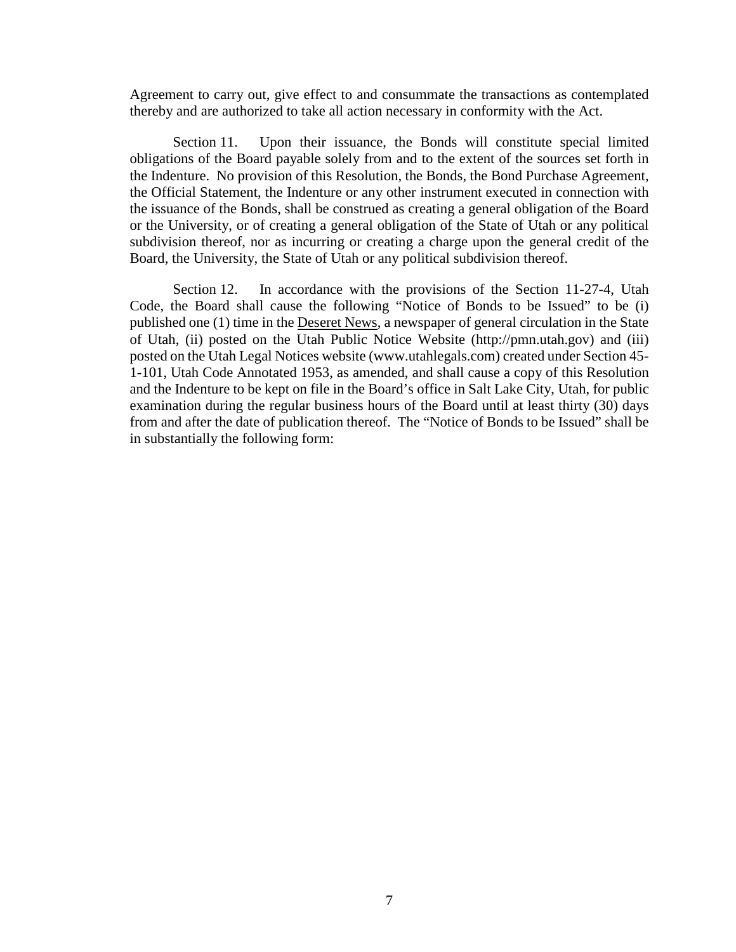Agreement to carry out, give effect to and consummate the transactions as contemplated thereby and are authorized to take all action necessary in conformity with the Act.

Section 11. Upon their issuance, the Bonds will constitute special limited obligations of the Board payable solely from and to the extent of the sources set forth in the Indenture. No provision of this Resolution, the Bonds, the Bond Purchase Agreement, the Official Statement, the Indenture or any other instrument executed in connection with the issuance of the Bonds, shall be construed as creating a general obligation of the Board or the University, or of creating a general obligation of the State of Utah or any political subdivision thereof, nor as incurring or creating a charge upon the general credit of the Board, the University, the State of Utah or any political subdivision thereof.

Section 12. In accordance with the provisions of the Section 11-27-4, Utah Code, the Board shall cause the following "Notice of Bonds to be Issued" to be (i) published one (1) time in the Deseret News, a newspaper of general circulation in the State of Utah, (ii) posted on the Utah Public Notice Website (http://pmn.utah.gov) and (iii) posted on the Utah Legal Notices website (www.utahlegals.com) created under Section 45- 1-101, Utah Code Annotated 1953, as amended, and shall cause a copy of this Resolution and the Indenture to be kept on file in the Board's office in Salt Lake City, Utah, for public examination during the regular business hours of the Board until at least thirty (30) days from and after the date of publication thereof. The "Notice of Bonds to be Issued" shall be in substantially the following form: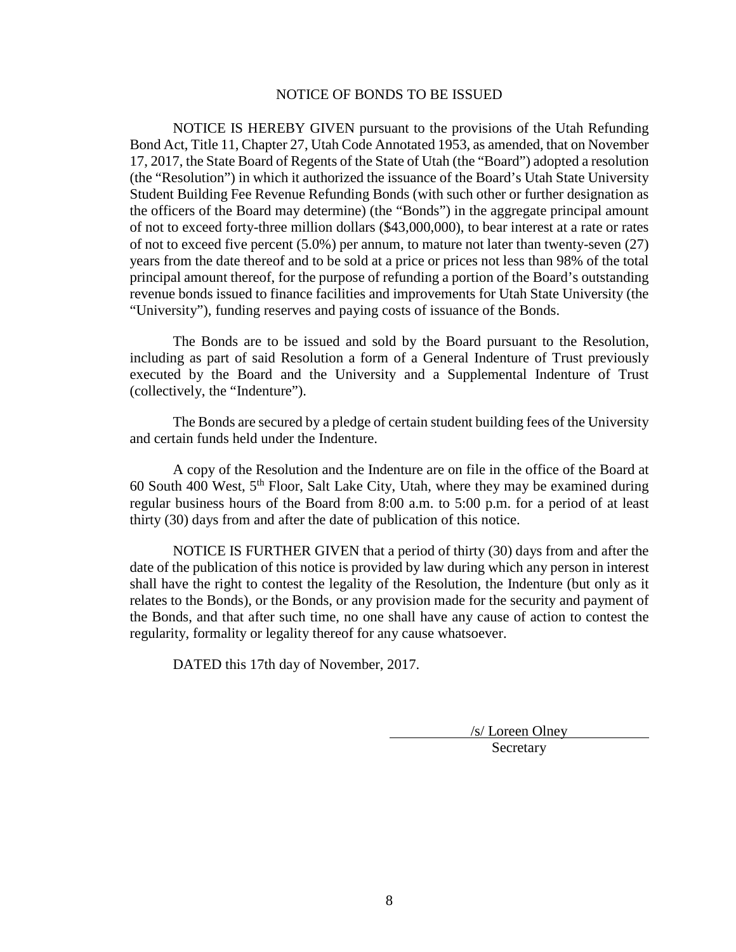#### NOTICE OF BONDS TO BE ISSUED

NOTICE IS HEREBY GIVEN pursuant to the provisions of the Utah Refunding Bond Act, Title 11, Chapter 27, Utah Code Annotated 1953, as amended, that on November 17, 2017, the State Board of Regents of the State of Utah (the "Board") adopted a resolution (the "Resolution") in which it authorized the issuance of the Board's Utah State University Student Building Fee Revenue Refunding Bonds (with such other or further designation as the officers of the Board may determine) (the "Bonds") in the aggregate principal amount of not to exceed forty-three million dollars (\$43,000,000), to bear interest at a rate or rates of not to exceed five percent (5.0%) per annum, to mature not later than twenty-seven (27) years from the date thereof and to be sold at a price or prices not less than 98% of the total principal amount thereof, for the purpose of refunding a portion of the Board's outstanding revenue bonds issued to finance facilities and improvements for Utah State University (the "University"), funding reserves and paying costs of issuance of the Bonds.

The Bonds are to be issued and sold by the Board pursuant to the Resolution, including as part of said Resolution a form of a General Indenture of Trust previously executed by the Board and the University and a Supplemental Indenture of Trust (collectively, the "Indenture").

The Bonds are secured by a pledge of certain student building fees of the University and certain funds held under the Indenture.

A copy of the Resolution and the Indenture are on file in the office of the Board at 60 South 400 West,  $5<sup>th</sup>$  Floor, Salt Lake City, Utah, where they may be examined during regular business hours of the Board from 8:00 a.m. to 5:00 p.m. for a period of at least thirty (30) days from and after the date of publication of this notice.

NOTICE IS FURTHER GIVEN that a period of thirty (30) days from and after the date of the publication of this notice is provided by law during which any person in interest shall have the right to contest the legality of the Resolution, the Indenture (but only as it relates to the Bonds), or the Bonds, or any provision made for the security and payment of the Bonds, and that after such time, no one shall have any cause of action to contest the regularity, formality or legality thereof for any cause whatsoever.

DATED this 17th day of November, 2017.

/s/ Loreen Olney **Secretary**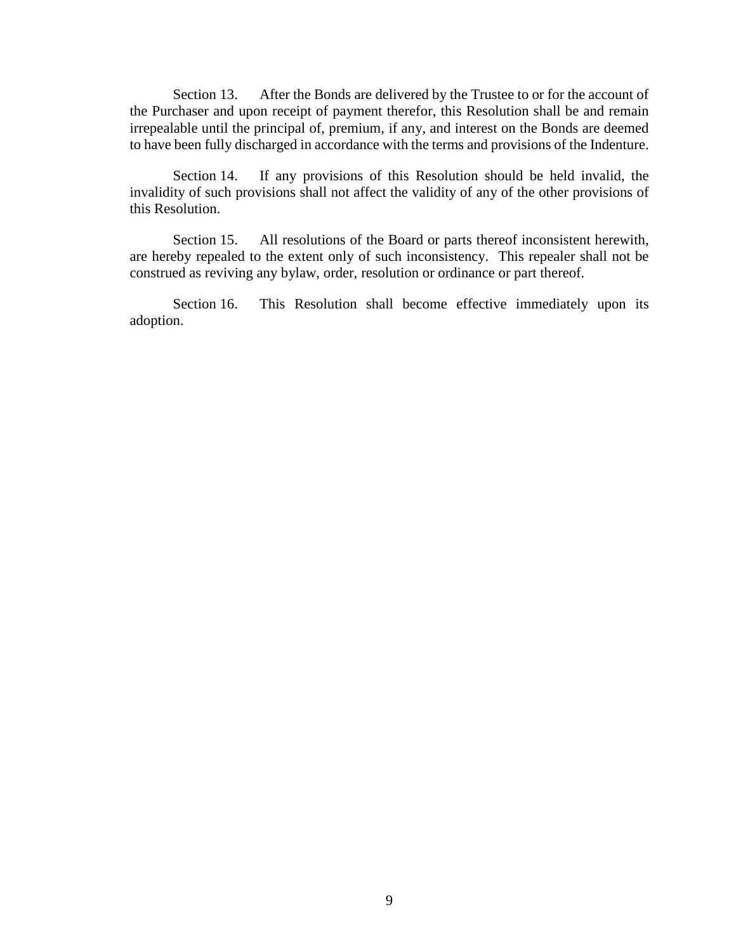Section 13. After the Bonds are delivered by the Trustee to or for the account of the Purchaser and upon receipt of payment therefor, this Resolution shall be and remain irrepealable until the principal of, premium, if any, and interest on the Bonds are deemed to have been fully discharged in accordance with the terms and provisions of the Indenture.

Section 14. If any provisions of this Resolution should be held invalid, the invalidity of such provisions shall not affect the validity of any of the other provisions of this Resolution.

Section 15. All resolutions of the Board or parts thereof inconsistent herewith, are hereby repealed to the extent only of such inconsistency. This repealer shall not be construed as reviving any bylaw, order, resolution or ordinance or part thereof.

Section 16. This Resolution shall become effective immediately upon its adoption.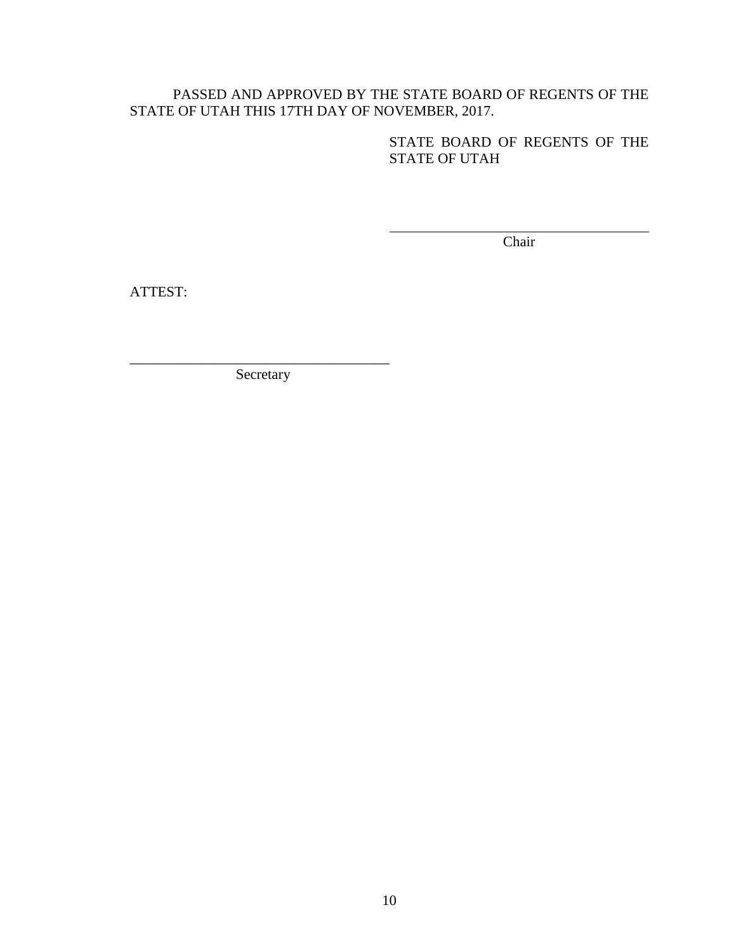### PASSED AND APPROVED BY THE STATE BOARD OF REGENTS OF THE STATE OF UTAH THIS 17TH DAY OF NOVEMBER, 2017.

STATE BOARD OF REGENTS OF THE STATE OF UTAH

Chair

ATTEST:

\_\_\_\_\_\_\_\_\_\_\_\_\_\_\_\_\_\_\_\_\_\_\_\_\_\_\_\_\_\_\_\_\_\_\_\_ Secretary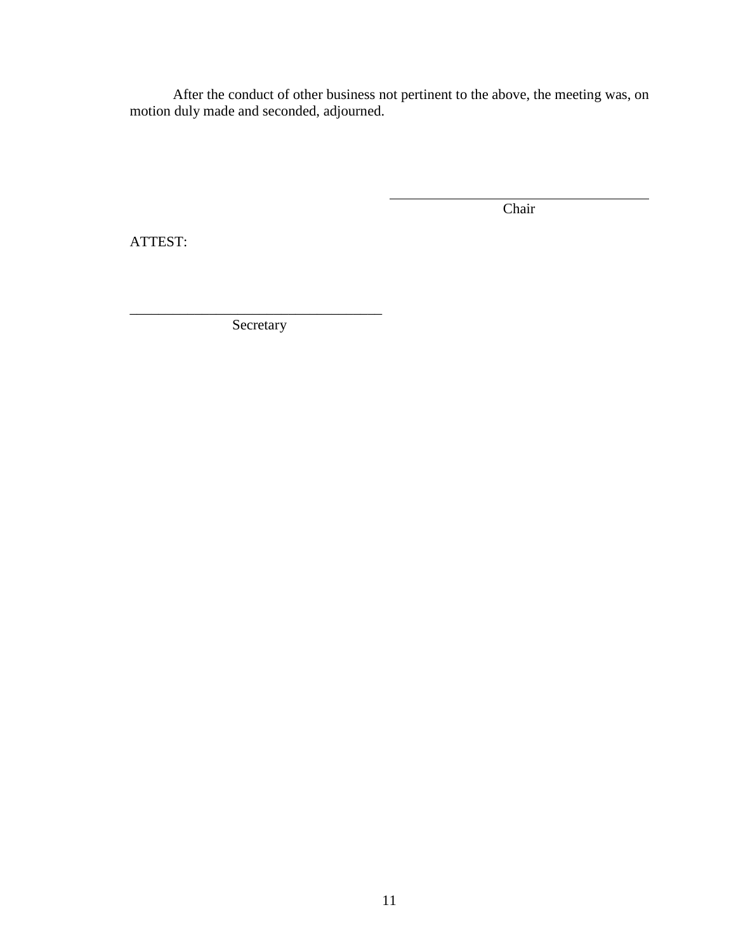After the conduct of other business not pertinent to the above, the meeting was, on motion duly made and seconded, adjourned.

Chair

ATTEST:

\_\_\_\_\_\_\_\_\_\_\_\_\_\_\_\_\_\_\_\_\_\_\_\_\_\_\_\_\_\_\_\_\_\_\_ Secretary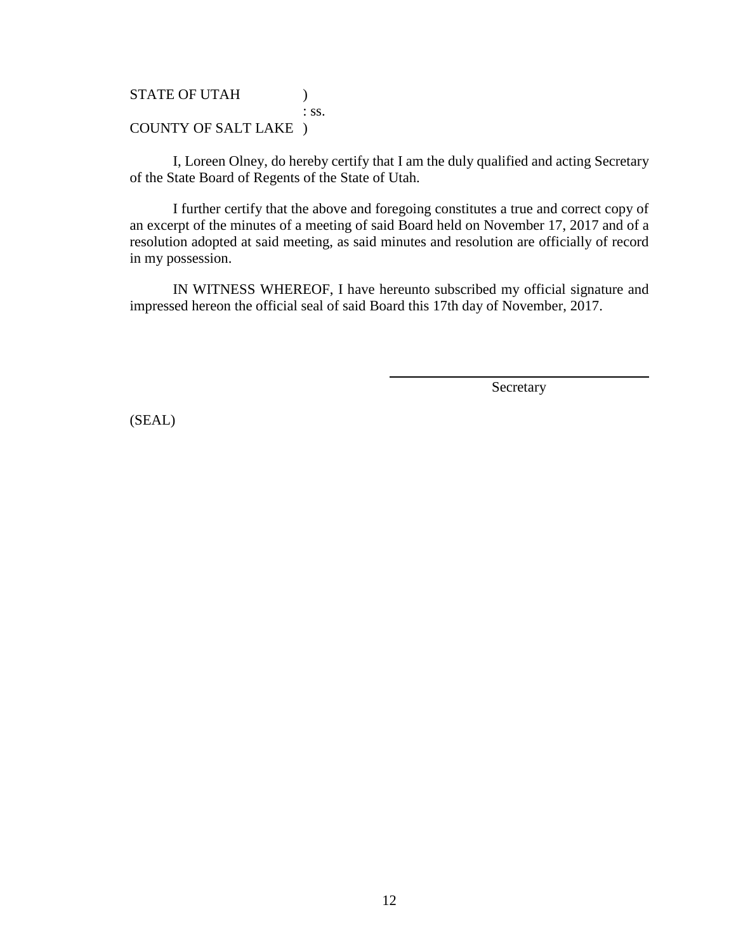### STATE OF UTAH (1)

: ss.

### COUNTY OF SALT LAKE )

I, Loreen Olney, do hereby certify that I am the duly qualified and acting Secretary of the State Board of Regents of the State of Utah.

I further certify that the above and foregoing constitutes a true and correct copy of an excerpt of the minutes of a meeting of said Board held on November 17, 2017 and of a resolution adopted at said meeting, as said minutes and resolution are officially of record in my possession.

IN WITNESS WHEREOF, I have hereunto subscribed my official signature and impressed hereon the official seal of said Board this 17th day of November, 2017.

Secretary

(SEAL)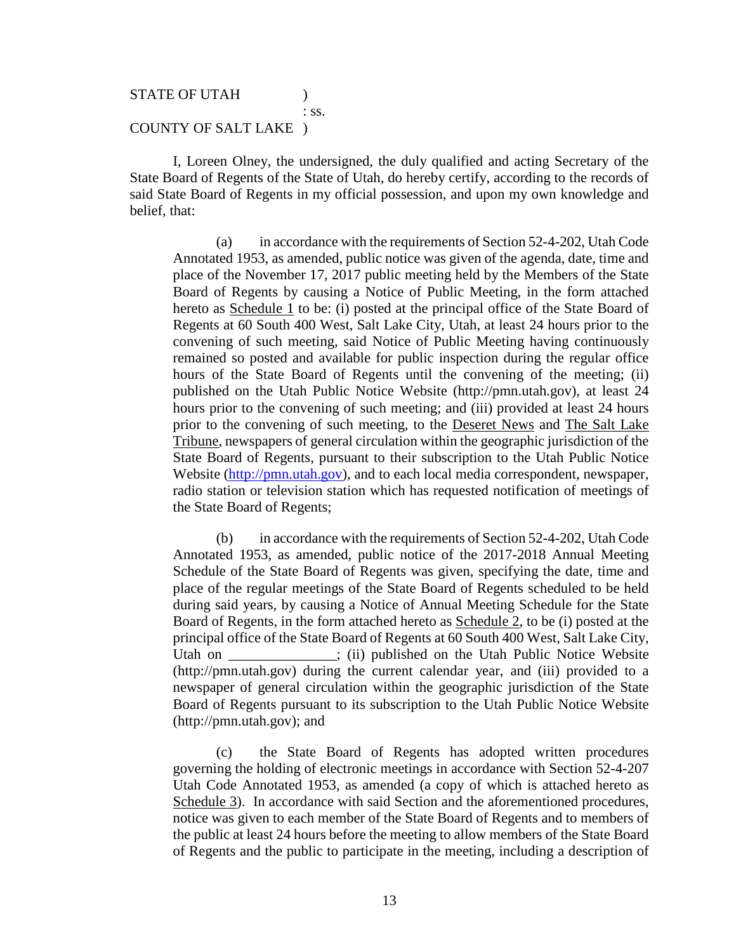#### STATE OF UTAH

: ss.

#### COUNTY OF SALT LAKE )

I, Loreen Olney, the undersigned, the duly qualified and acting Secretary of the State Board of Regents of the State of Utah, do hereby certify, according to the records of said State Board of Regents in my official possession, and upon my own knowledge and belief, that:

(a) in accordance with the requirements of Section 52-4-202, Utah Code Annotated 1953, as amended, public notice was given of the agenda, date, time and place of the November 17, 2017 public meeting held by the Members of the State Board of Regents by causing a Notice of Public Meeting, in the form attached hereto as Schedule 1 to be: (i) posted at the principal office of the State Board of Regents at 60 South 400 West, Salt Lake City, Utah, at least 24 hours prior to the convening of such meeting, said Notice of Public Meeting having continuously remained so posted and available for public inspection during the regular office hours of the State Board of Regents until the convening of the meeting; (ii) published on the Utah Public Notice Website (http://pmn.utah.gov), at least 24 hours prior to the convening of such meeting; and (iii) provided at least 24 hours prior to the convening of such meeting, to the Deseret News and The Salt Lake Tribune, newspapers of general circulation within the geographic jurisdiction of the State Board of Regents, pursuant to their subscription to the Utah Public Notice Website [\(http://pmn.utah.gov\)](http://pmn.utah.gov/), and to each local media correspondent, newspaper, radio station or television station which has requested notification of meetings of the State Board of Regents;

(b) in accordance with the requirements of Section 52-4-202, Utah Code Annotated 1953, as amended, public notice of the 2017-2018 Annual Meeting Schedule of the State Board of Regents was given, specifying the date, time and place of the regular meetings of the State Board of Regents scheduled to be held during said years, by causing a Notice of Annual Meeting Schedule for the State Board of Regents, in the form attached hereto as Schedule 2, to be (i) posted at the principal office of the State Board of Regents at 60 South 400 West, Salt Lake City, Utah on \_\_\_\_\_\_\_\_\_\_\_; (ii) published on the Utah Public Notice Website (http://pmn.utah.gov) during the current calendar year, and (iii) provided to a newspaper of general circulation within the geographic jurisdiction of the State Board of Regents pursuant to its subscription to the Utah Public Notice Website (http://pmn.utah.gov); and

(c) the State Board of Regents has adopted written procedures governing the holding of electronic meetings in accordance with Section 52-4-207 Utah Code Annotated 1953, as amended (a copy of which is attached hereto as Schedule 3). In accordance with said Section and the aforementioned procedures, notice was given to each member of the State Board of Regents and to members of the public at least 24 hours before the meeting to allow members of the State Board of Regents and the public to participate in the meeting, including a description of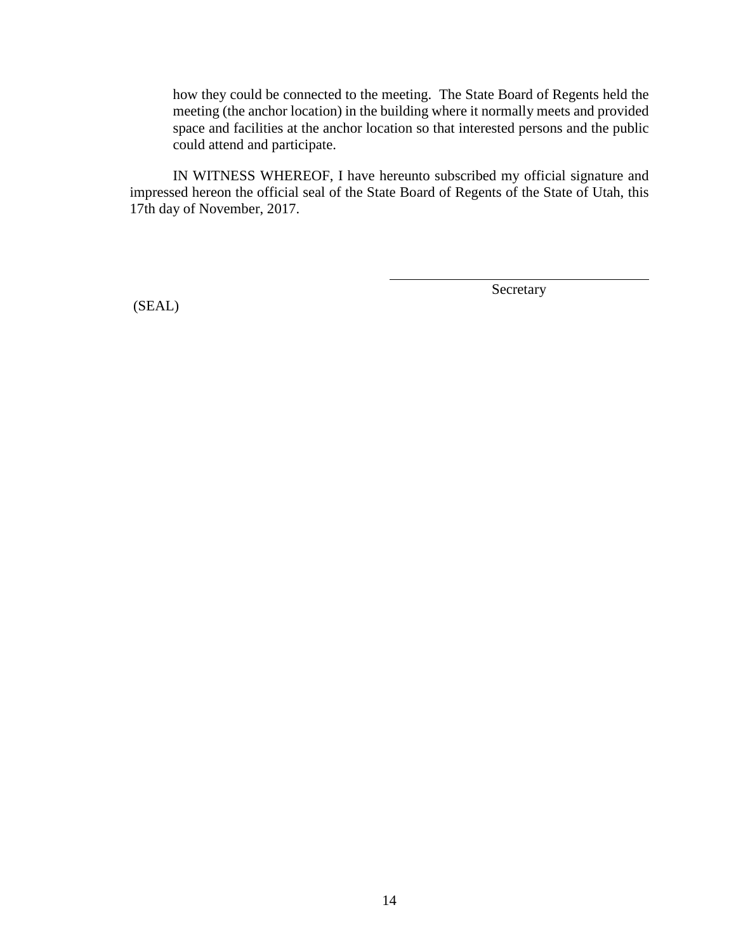how they could be connected to the meeting. The State Board of Regents held the meeting (the anchor location) in the building where it normally meets and provided space and facilities at the anchor location so that interested persons and the public could attend and participate.

IN WITNESS WHEREOF, I have hereunto subscribed my official signature and impressed hereon the official seal of the State Board of Regents of the State of Utah, this 17th day of November, 2017.

(SEAL)

Secretary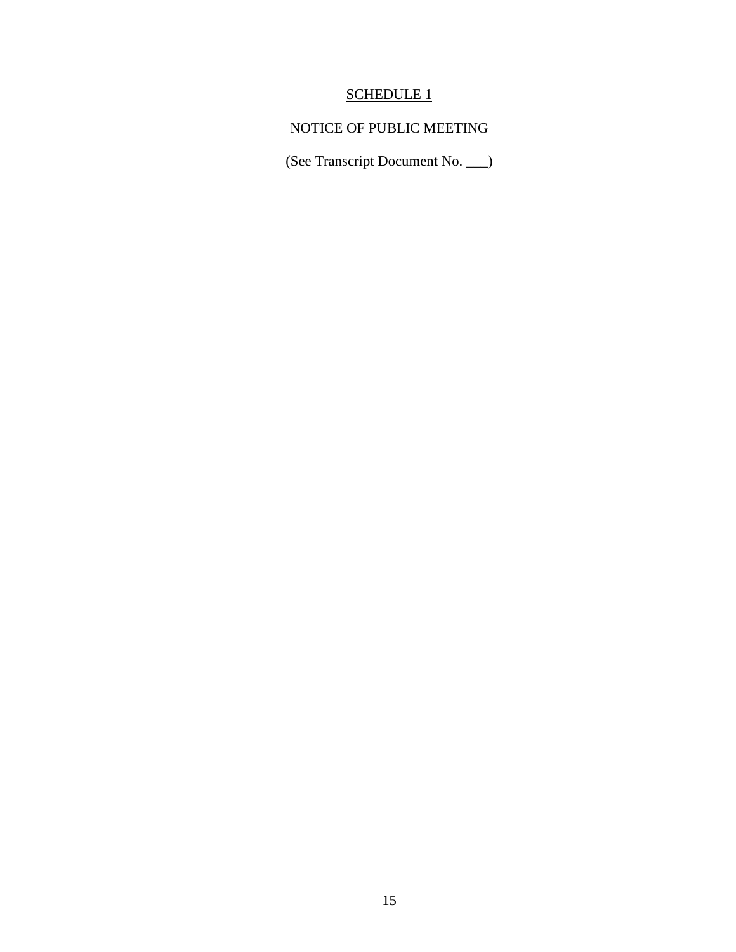# SCHEDULE 1

## NOTICE OF PUBLIC MEETING

(See Transcript Document No. \_\_\_)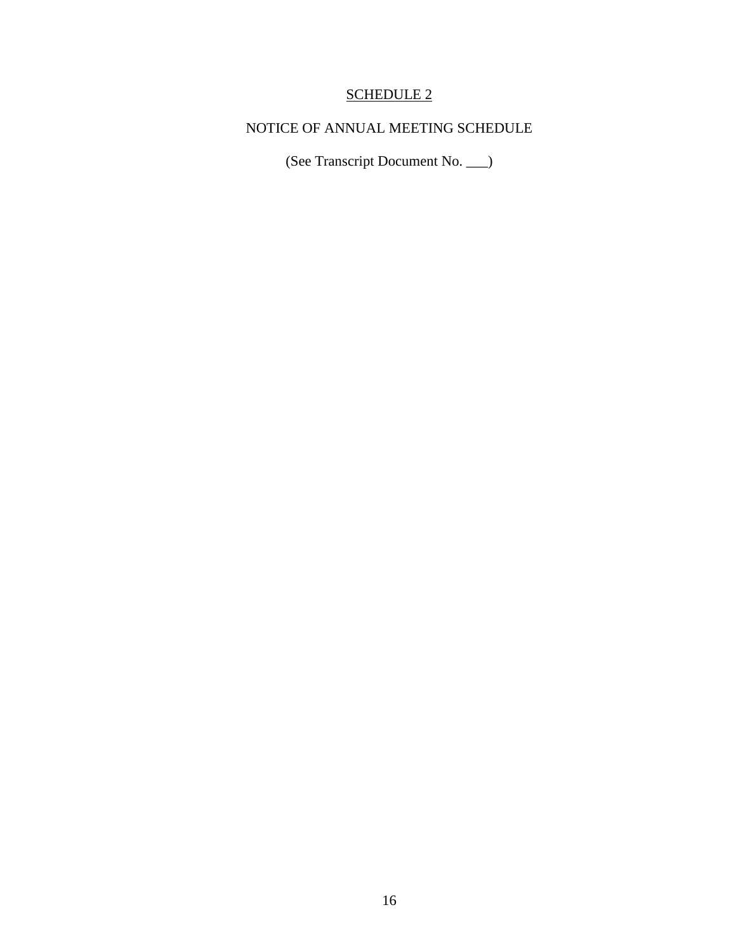### SCHEDULE 2

## NOTICE OF ANNUAL MEETING SCHEDULE

(See Transcript Document No. \_\_\_)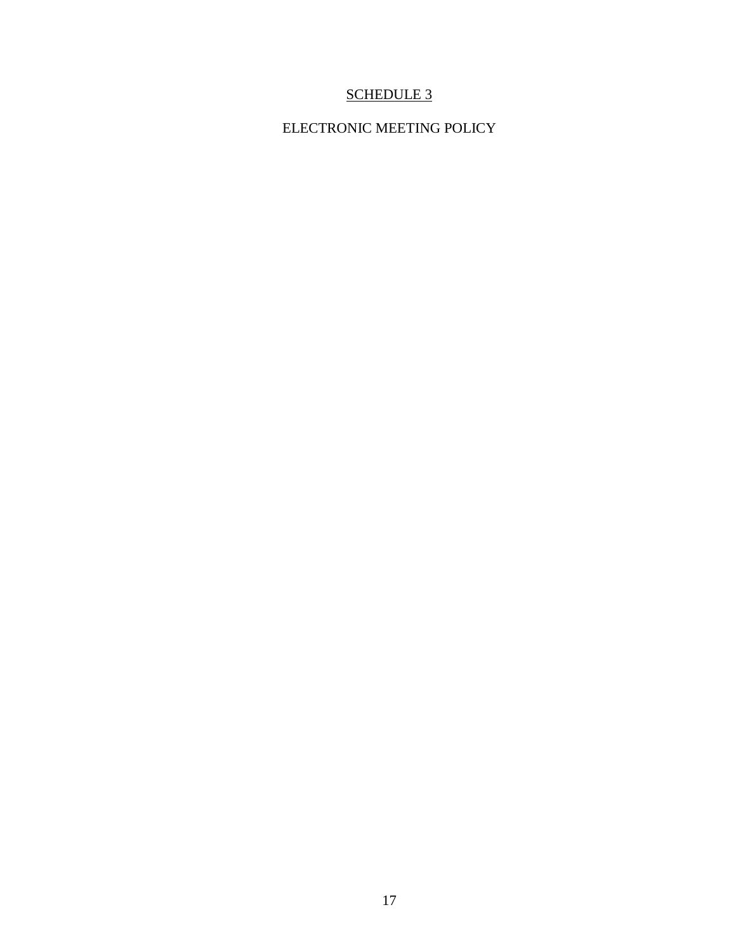### SCHEDULE 3

## ELECTRONIC MEETING POLICY